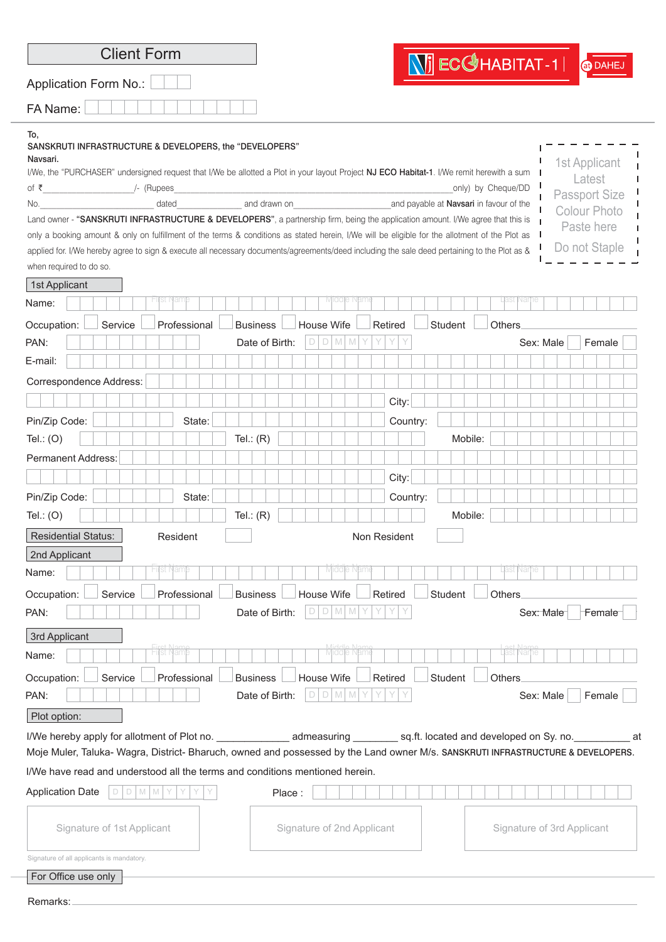| at DAHEJ<br>Application Form No.:<br>SANSKRUTI INFRASTRUCTURE & DEVELOPERS, the "DEVELOPERS"<br>1st Applicant<br>I/We, the "PURCHASER" undersigned request that I/We be allotted a Plot in your layout Project NJ ECO Habitat-1. I/We remit herewith a sum<br>Latest<br>only) by Cheque/DD<br><b>Passport Size</b><br>dated and drawn on<br>and payable at Navsari in favour of the<br><b>Colour Photo</b><br>Land owner - "SANSKRUTI INFRASTRUCTURE & DEVELOPERS", a partnership firm, being the application amount. I/We agree that this is<br>Paste here<br>only a booking amount & only on fulfillment of the terms & conditions as stated herein, I/We will be eligible for the allotment of the Plot as<br>Do not Staple<br>applied for. I/We hereby agree to sign & execute all necessary documents/agreements/deed including the sale deed pertaining to the Plot as &<br>HIJSE P<br>var<br>Student<br>Professional<br><b>Business</b><br>House Wife<br>Retired<br>Others.<br>Service<br>$D$ M M<br>Date of Birth:<br>D<br>Sex: Male<br>Female<br>Correspondence Address:<br>City:<br>Pin/Zip Code:<br>State:<br>Country:<br>Tel.: $(R)$<br>Mobile:<br>Tel.: $(O)$<br><b>Permanent Address:</b><br>City:<br>State:<br>Country:<br>Tel.: $(R)$<br>Mobile:<br>Tel.: $(O)$<br><b>Residential Status:</b><br>Resident<br>Non Resident<br>Middle Nam<br>Hijst Nam<br>ast Narhe<br>Professional<br>Service<br><b>Business</b><br>House Wife<br>Retired<br>Student<br>Others<br>$D$ M M<br>Date of Birth:<br>D<br>Female<br>Sex: Male<br>3rd Applicant<br>Firet Nam<br>Hist Nam<br>Middle Nam<br>last Narhe<br>Occupation:<br>Professional<br><b>Business</b><br>House Wife<br>Retired<br>Student<br><b>Others</b><br>Service<br>Date of Birth:<br>$D$ M M<br>PAN:<br>Sex: Male<br>Female<br>D<br>Plot option:<br>at<br>Moje Muler, Taluka- Wagra, District- Bharuch, owned and possessed by the Land owner M/s. SANSKRUTI INFRASTRUCTURE & DEVELOPERS.<br>I/We have read and understood all the terms and conditions mentioned herein.<br><b>Application Date</b><br>$\Box$<br>D <sub>1</sub><br>M M<br>Place:<br>Y<br>Signature of 1st Applicant<br>Signature of 2nd Applicant<br>Signature of 3rd Applicant<br>For Office use only | Remarks: | <b>Client Form</b>                        |                          |  |
|----------------------------------------------------------------------------------------------------------------------------------------------------------------------------------------------------------------------------------------------------------------------------------------------------------------------------------------------------------------------------------------------------------------------------------------------------------------------------------------------------------------------------------------------------------------------------------------------------------------------------------------------------------------------------------------------------------------------------------------------------------------------------------------------------------------------------------------------------------------------------------------------------------------------------------------------------------------------------------------------------------------------------------------------------------------------------------------------------------------------------------------------------------------------------------------------------------------------------------------------------------------------------------------------------------------------------------------------------------------------------------------------------------------------------------------------------------------------------------------------------------------------------------------------------------------------------------------------------------------------------------------------------------------------------------------------------------------------------------------------------------------------------------------------------------------------------------------------------------------------------------------------------------------------------------------------------------------------------------------------------------------------------------------------------------------------------------------------------------------------------------------------------------------------------------------------------------------------------------------|----------|-------------------------------------------|--------------------------|--|
|                                                                                                                                                                                                                                                                                                                                                                                                                                                                                                                                                                                                                                                                                                                                                                                                                                                                                                                                                                                                                                                                                                                                                                                                                                                                                                                                                                                                                                                                                                                                                                                                                                                                                                                                                                                                                                                                                                                                                                                                                                                                                                                                                                                                                                        |          |                                           | $\sqrt{2}$ ECC HABITAT-1 |  |
|                                                                                                                                                                                                                                                                                                                                                                                                                                                                                                                                                                                                                                                                                                                                                                                                                                                                                                                                                                                                                                                                                                                                                                                                                                                                                                                                                                                                                                                                                                                                                                                                                                                                                                                                                                                                                                                                                                                                                                                                                                                                                                                                                                                                                                        |          | FA Name:                                  |                          |  |
|                                                                                                                                                                                                                                                                                                                                                                                                                                                                                                                                                                                                                                                                                                                                                                                                                                                                                                                                                                                                                                                                                                                                                                                                                                                                                                                                                                                                                                                                                                                                                                                                                                                                                                                                                                                                                                                                                                                                                                                                                                                                                                                                                                                                                                        |          | To,<br>Navsari.<br>of ₹<br>No.            |                          |  |
|                                                                                                                                                                                                                                                                                                                                                                                                                                                                                                                                                                                                                                                                                                                                                                                                                                                                                                                                                                                                                                                                                                                                                                                                                                                                                                                                                                                                                                                                                                                                                                                                                                                                                                                                                                                                                                                                                                                                                                                                                                                                                                                                                                                                                                        |          |                                           |                          |  |
|                                                                                                                                                                                                                                                                                                                                                                                                                                                                                                                                                                                                                                                                                                                                                                                                                                                                                                                                                                                                                                                                                                                                                                                                                                                                                                                                                                                                                                                                                                                                                                                                                                                                                                                                                                                                                                                                                                                                                                                                                                                                                                                                                                                                                                        |          | when required to do so.                   |                          |  |
|                                                                                                                                                                                                                                                                                                                                                                                                                                                                                                                                                                                                                                                                                                                                                                                                                                                                                                                                                                                                                                                                                                                                                                                                                                                                                                                                                                                                                                                                                                                                                                                                                                                                                                                                                                                                                                                                                                                                                                                                                                                                                                                                                                                                                                        |          | 1st Applicant                             |                          |  |
|                                                                                                                                                                                                                                                                                                                                                                                                                                                                                                                                                                                                                                                                                                                                                                                                                                                                                                                                                                                                                                                                                                                                                                                                                                                                                                                                                                                                                                                                                                                                                                                                                                                                                                                                                                                                                                                                                                                                                                                                                                                                                                                                                                                                                                        |          | Name:                                     |                          |  |
|                                                                                                                                                                                                                                                                                                                                                                                                                                                                                                                                                                                                                                                                                                                                                                                                                                                                                                                                                                                                                                                                                                                                                                                                                                                                                                                                                                                                                                                                                                                                                                                                                                                                                                                                                                                                                                                                                                                                                                                                                                                                                                                                                                                                                                        |          | Occupation:                               |                          |  |
|                                                                                                                                                                                                                                                                                                                                                                                                                                                                                                                                                                                                                                                                                                                                                                                                                                                                                                                                                                                                                                                                                                                                                                                                                                                                                                                                                                                                                                                                                                                                                                                                                                                                                                                                                                                                                                                                                                                                                                                                                                                                                                                                                                                                                                        |          | PAN:                                      |                          |  |
|                                                                                                                                                                                                                                                                                                                                                                                                                                                                                                                                                                                                                                                                                                                                                                                                                                                                                                                                                                                                                                                                                                                                                                                                                                                                                                                                                                                                                                                                                                                                                                                                                                                                                                                                                                                                                                                                                                                                                                                                                                                                                                                                                                                                                                        |          | E-mail:                                   |                          |  |
|                                                                                                                                                                                                                                                                                                                                                                                                                                                                                                                                                                                                                                                                                                                                                                                                                                                                                                                                                                                                                                                                                                                                                                                                                                                                                                                                                                                                                                                                                                                                                                                                                                                                                                                                                                                                                                                                                                                                                                                                                                                                                                                                                                                                                                        |          |                                           |                          |  |
|                                                                                                                                                                                                                                                                                                                                                                                                                                                                                                                                                                                                                                                                                                                                                                                                                                                                                                                                                                                                                                                                                                                                                                                                                                                                                                                                                                                                                                                                                                                                                                                                                                                                                                                                                                                                                                                                                                                                                                                                                                                                                                                                                                                                                                        |          |                                           |                          |  |
|                                                                                                                                                                                                                                                                                                                                                                                                                                                                                                                                                                                                                                                                                                                                                                                                                                                                                                                                                                                                                                                                                                                                                                                                                                                                                                                                                                                                                                                                                                                                                                                                                                                                                                                                                                                                                                                                                                                                                                                                                                                                                                                                                                                                                                        |          |                                           |                          |  |
|                                                                                                                                                                                                                                                                                                                                                                                                                                                                                                                                                                                                                                                                                                                                                                                                                                                                                                                                                                                                                                                                                                                                                                                                                                                                                                                                                                                                                                                                                                                                                                                                                                                                                                                                                                                                                                                                                                                                                                                                                                                                                                                                                                                                                                        |          |                                           |                          |  |
|                                                                                                                                                                                                                                                                                                                                                                                                                                                                                                                                                                                                                                                                                                                                                                                                                                                                                                                                                                                                                                                                                                                                                                                                                                                                                                                                                                                                                                                                                                                                                                                                                                                                                                                                                                                                                                                                                                                                                                                                                                                                                                                                                                                                                                        |          |                                           |                          |  |
|                                                                                                                                                                                                                                                                                                                                                                                                                                                                                                                                                                                                                                                                                                                                                                                                                                                                                                                                                                                                                                                                                                                                                                                                                                                                                                                                                                                                                                                                                                                                                                                                                                                                                                                                                                                                                                                                                                                                                                                                                                                                                                                                                                                                                                        |          |                                           |                          |  |
|                                                                                                                                                                                                                                                                                                                                                                                                                                                                                                                                                                                                                                                                                                                                                                                                                                                                                                                                                                                                                                                                                                                                                                                                                                                                                                                                                                                                                                                                                                                                                                                                                                                                                                                                                                                                                                                                                                                                                                                                                                                                                                                                                                                                                                        |          | Pin/Zip Code:                             |                          |  |
|                                                                                                                                                                                                                                                                                                                                                                                                                                                                                                                                                                                                                                                                                                                                                                                                                                                                                                                                                                                                                                                                                                                                                                                                                                                                                                                                                                                                                                                                                                                                                                                                                                                                                                                                                                                                                                                                                                                                                                                                                                                                                                                                                                                                                                        |          |                                           |                          |  |
|                                                                                                                                                                                                                                                                                                                                                                                                                                                                                                                                                                                                                                                                                                                                                                                                                                                                                                                                                                                                                                                                                                                                                                                                                                                                                                                                                                                                                                                                                                                                                                                                                                                                                                                                                                                                                                                                                                                                                                                                                                                                                                                                                                                                                                        |          |                                           |                          |  |
|                                                                                                                                                                                                                                                                                                                                                                                                                                                                                                                                                                                                                                                                                                                                                                                                                                                                                                                                                                                                                                                                                                                                                                                                                                                                                                                                                                                                                                                                                                                                                                                                                                                                                                                                                                                                                                                                                                                                                                                                                                                                                                                                                                                                                                        |          | 2nd Applicant                             |                          |  |
|                                                                                                                                                                                                                                                                                                                                                                                                                                                                                                                                                                                                                                                                                                                                                                                                                                                                                                                                                                                                                                                                                                                                                                                                                                                                                                                                                                                                                                                                                                                                                                                                                                                                                                                                                                                                                                                                                                                                                                                                                                                                                                                                                                                                                                        |          | Name:                                     |                          |  |
|                                                                                                                                                                                                                                                                                                                                                                                                                                                                                                                                                                                                                                                                                                                                                                                                                                                                                                                                                                                                                                                                                                                                                                                                                                                                                                                                                                                                                                                                                                                                                                                                                                                                                                                                                                                                                                                                                                                                                                                                                                                                                                                                                                                                                                        |          | Occupation:<br>PAN:                       |                          |  |
|                                                                                                                                                                                                                                                                                                                                                                                                                                                                                                                                                                                                                                                                                                                                                                                                                                                                                                                                                                                                                                                                                                                                                                                                                                                                                                                                                                                                                                                                                                                                                                                                                                                                                                                                                                                                                                                                                                                                                                                                                                                                                                                                                                                                                                        |          |                                           |                          |  |
|                                                                                                                                                                                                                                                                                                                                                                                                                                                                                                                                                                                                                                                                                                                                                                                                                                                                                                                                                                                                                                                                                                                                                                                                                                                                                                                                                                                                                                                                                                                                                                                                                                                                                                                                                                                                                                                                                                                                                                                                                                                                                                                                                                                                                                        |          | Name:                                     |                          |  |
|                                                                                                                                                                                                                                                                                                                                                                                                                                                                                                                                                                                                                                                                                                                                                                                                                                                                                                                                                                                                                                                                                                                                                                                                                                                                                                                                                                                                                                                                                                                                                                                                                                                                                                                                                                                                                                                                                                                                                                                                                                                                                                                                                                                                                                        |          |                                           |                          |  |
|                                                                                                                                                                                                                                                                                                                                                                                                                                                                                                                                                                                                                                                                                                                                                                                                                                                                                                                                                                                                                                                                                                                                                                                                                                                                                                                                                                                                                                                                                                                                                                                                                                                                                                                                                                                                                                                                                                                                                                                                                                                                                                                                                                                                                                        |          |                                           |                          |  |
|                                                                                                                                                                                                                                                                                                                                                                                                                                                                                                                                                                                                                                                                                                                                                                                                                                                                                                                                                                                                                                                                                                                                                                                                                                                                                                                                                                                                                                                                                                                                                                                                                                                                                                                                                                                                                                                                                                                                                                                                                                                                                                                                                                                                                                        |          |                                           |                          |  |
|                                                                                                                                                                                                                                                                                                                                                                                                                                                                                                                                                                                                                                                                                                                                                                                                                                                                                                                                                                                                                                                                                                                                                                                                                                                                                                                                                                                                                                                                                                                                                                                                                                                                                                                                                                                                                                                                                                                                                                                                                                                                                                                                                                                                                                        |          |                                           |                          |  |
|                                                                                                                                                                                                                                                                                                                                                                                                                                                                                                                                                                                                                                                                                                                                                                                                                                                                                                                                                                                                                                                                                                                                                                                                                                                                                                                                                                                                                                                                                                                                                                                                                                                                                                                                                                                                                                                                                                                                                                                                                                                                                                                                                                                                                                        |          |                                           |                          |  |
|                                                                                                                                                                                                                                                                                                                                                                                                                                                                                                                                                                                                                                                                                                                                                                                                                                                                                                                                                                                                                                                                                                                                                                                                                                                                                                                                                                                                                                                                                                                                                                                                                                                                                                                                                                                                                                                                                                                                                                                                                                                                                                                                                                                                                                        |          |                                           |                          |  |
|                                                                                                                                                                                                                                                                                                                                                                                                                                                                                                                                                                                                                                                                                                                                                                                                                                                                                                                                                                                                                                                                                                                                                                                                                                                                                                                                                                                                                                                                                                                                                                                                                                                                                                                                                                                                                                                                                                                                                                                                                                                                                                                                                                                                                                        |          | Signature of all applicants is mandatory. |                          |  |
|                                                                                                                                                                                                                                                                                                                                                                                                                                                                                                                                                                                                                                                                                                                                                                                                                                                                                                                                                                                                                                                                                                                                                                                                                                                                                                                                                                                                                                                                                                                                                                                                                                                                                                                                                                                                                                                                                                                                                                                                                                                                                                                                                                                                                                        |          |                                           |                          |  |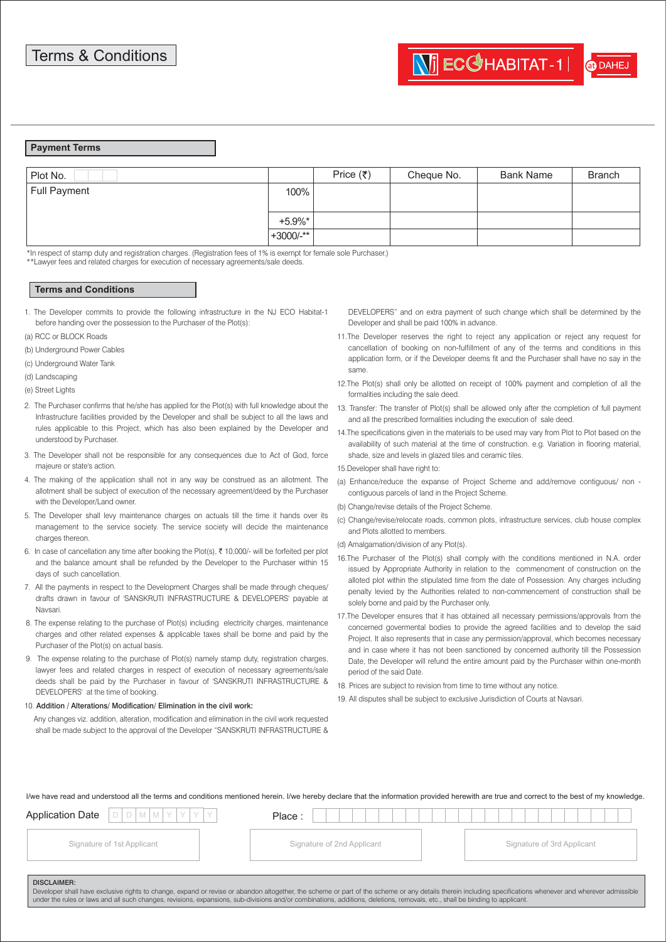at DAHE

## **Payment Terms**

| Plot No.            |             | Price $(\bar{\tau})$ | Cheque No. | <b>Bank Name</b> | <b>Branch</b> |
|---------------------|-------------|----------------------|------------|------------------|---------------|
| <b>Full Payment</b> | 100%        |                      |            |                  |               |
|                     | $+5.9\%$ *  |                      |            |                  |               |
|                     | $+3000/-**$ |                      |            |                  |               |

\*In respect of stamp duty and registration charges. (Registration fees of 1% is exempt for female sole Purchaser.)

\*\*Lawyer fees and related charges for execution of necessary agreements/sale deeds.

## **Terms and Conditions**

- 1. The Developer commits to provide the following infrastructure in the NJ ECO Habitat-1 before handing over the possession to the Purchaser of the Plot(s):
- (a) RCC or BLOCK Roads
- (b) Underground Power Cables
- (c) Underground Water Tank
- (d) Landscaping
- (e) Street Lights
- 2. The Purchaser confirms that he/she has applied for the Plot(s) with full knowledge about the Infrastructure facilities provided by the Developer and shall be subject to all the laws and rules applicable to this Project, which has also been explained by the Developer and understood by Purchaser.
- 3. The Developer shall not be responsible for any consequences due to Act of God, force majeure or state's action.
- 4. The making of the application shall not in any way be construed as an allotment. The allotment shall be subject of execution of the necessary agreement/deed by the Purchaser with the Developer/Land owner
- 5. The Developer shall levy maintenance charges on actuals till the time it hands over its management to the service society. The service society will decide the maintenance charges thereon.
- 6. In case of cancellation any time after booking the Plot(s),  $\bar{\tau}$  10,000/- will be forfeited per plot and the balance amount shall be refunded by the Developer to the Purchaser within 15 days of such cancellation.
- 7. All the payments in respect to the Development Charges shall be made through cheques/ drafts drawn in favour of 'SANSKRUTI INFRASTRUCTURE & DEVELOPERS' payable at Navsari.
- 8. The expense relating to the purchase of Plot(s) including electricity charges, maintenance charges and other related expenses & applicable taxes shall be borne and paid by the Purchaser of the Plot(s) on actual basis.
- 9. The expense relating to the purchase of Plot(s) namely stamp duty, registration charges, lawyer fees and related charges in respect of execution of necessary agreements/sale deeds shall be paid by the Purchaser in favour of 'SANSKRUTI INFRASTRUCTURE & DEVELOPERS' at the time of booking.
- 10. Addition / Alterations/ Modification/ Elimination in the civil work:
	- Any changes viz. addition, alteration, modification and elimination in the civil work requested shall be made subject to the approval of the Developer "SANSKRUTI INFRASTRUCTURE &
- DEVELOPERS" and on extra payment of such change which shall be determined by the Developer and shall be paid 100% in advance.
- 11.The Developer reserves the right to reject any application or reject any request for cancellation of booking on non-fulfillment of any of the terms and conditions in this application form, or if the Developer deems fit and the Purchaser shall have no say in the same.
- 12.The Plot(s) shall only be allotted on receipt of 100% payment and completion of all the formalities including the sale deed.
- 13. Transfer: The transfer of Plot(s) shall be allowed only after the completion of full payment and all the prescribed formalities including the execution of sale deed.
- 14.The specifications given in the materials to be used may vary from Plot to Plot based on the availability of such material at the time of construction. e.g. Variation in flooring material, shade, size and levels in glazed tiles and ceramic tiles.

15.Developer shall have right to:

- (a) Enhance/reduce the expanse of Project Scheme and add/remove contiguous/ non contiguous parcels of land in the Project Scheme.
- (b) Change/revise details of the Project Scheme.
- (c) Change/revise/relocate roads, common plots, infrastructure services, club house complex and Plots allotted to members.
- (d) Amalgamation/division of any Plot(s).
- 16.The Purchaser of the Plot(s) shall comply with the conditions mentioned in N.A. order issued by Appropriate Authority in relation to the commencment of construction on the alloted plot within the stipulated time from the date of Possession. Any charges including penalty levied by the Authorities related to non-commencement of construction shall be solely borne and paid by the Purchaser only.
- 17.The Developer ensures that it has obtained all necessary permissions/approvals from the concerned govermental bodies to provide the agreed facilities and to develop the said Project. It also represents that in case any permission/approval, which becomes necessary and in case where it has not been sanctioned by concerned authority till the Possession Date, the Developer will refund the entire amount paid by the Purchaser within one-month period of the said Date.
- 18. Prices are subject to revision from time to time without any notice.
- 19. All disputes shall be subject to exclusive Jurisdiction of Courts at Navsari.

I/we have read and understood all the terms and conditions mentioned herein. I/we hereby declare that the information provided herewith are true and correct to the best of my knowledge.

| <b>Application Date</b><br>DIDIMIMIYIYIYIY                                                                                                                                                                                                                                                                                                                                                                       | Place:                     |                            |
|------------------------------------------------------------------------------------------------------------------------------------------------------------------------------------------------------------------------------------------------------------------------------------------------------------------------------------------------------------------------------------------------------------------|----------------------------|----------------------------|
| Signature of 1st Applicant                                                                                                                                                                                                                                                                                                                                                                                       | Signature of 2nd Applicant | Signature of 3rd Applicant |
| <b>DISCLAIMER:</b><br>Developer shall have exclusive rights to change, expand or revise or abandon altogether, the scheme or part of the scheme or any details therein including specifications whenever and wherever admissible<br>under the rules or laws and all such changes, revisions, expansions, sub-divisions and/or combinations, additions, deletions, removals, etc., shall be binding to applicant. |                            |                            |